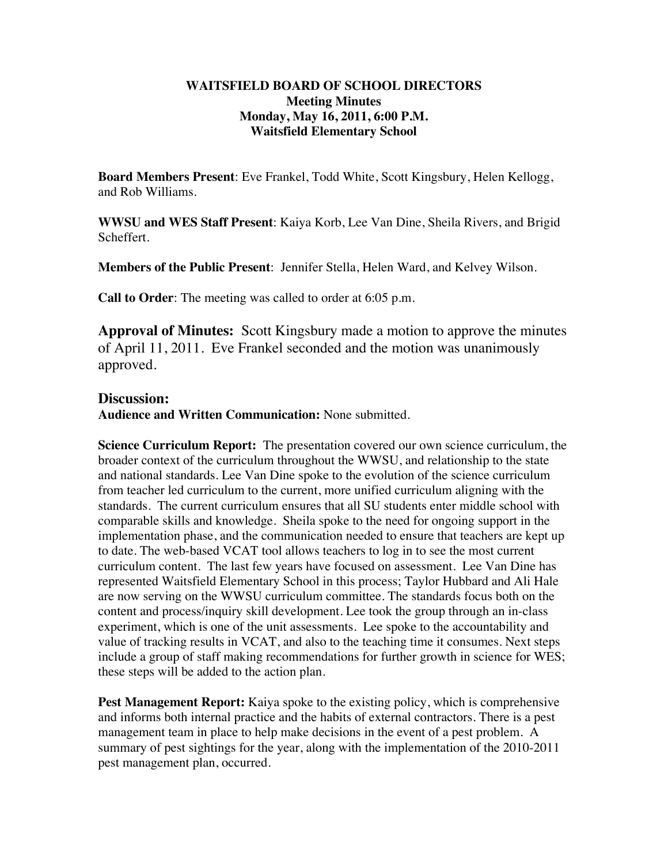### **WAITSFIELD BOARD OF SCHOOL DIRECTORS Meeting Minutes Monday, May 16, 2011, 6:00 P.M. Waitsfield Elementary School**

**Board Members Present**: Eve Frankel, Todd White, Scott Kingsbury, Helen Kellogg, and Rob Williams.

**WWSU and WES Staff Present**: Kaiya Korb, Lee Van Dine, Sheila Rivers, and Brigid Scheffert.

**Members of the Public Present**: Jennifer Stella, Helen Ward, and Kelvey Wilson.

**Call to Order**: The meeting was called to order at 6:05 p.m.

**Approval of Minutes:** Scott Kingsbury made a motion to approve the minutes of April 11, 2011. Eve Frankel seconded and the motion was unanimously approved.

# **Discussion:**

**Audience and Written Communication:** None submitted.

**Science Curriculum Report:** The presentation covered our own science curriculum, the broader context of the curriculum throughout the WWSU, and relationship to the state and national standards. Lee Van Dine spoke to the evolution of the science curriculum from teacher led curriculum to the current, more unified curriculum aligning with the standards. The current curriculum ensures that all SU students enter middle school with comparable skills and knowledge. Sheila spoke to the need for ongoing support in the implementation phase, and the communication needed to ensure that teachers are kept up to date. The web-based VCAT tool allows teachers to log in to see the most current curriculum content. The last few years have focused on assessment. Lee Van Dine has represented Waitsfield Elementary School in this process; Taylor Hubbard and Ali Hale are now serving on the WWSU curriculum committee. The standards focus both on the content and process/inquiry skill development. Lee took the group through an in-class experiment, which is one of the unit assessments. Lee spoke to the accountability and value of tracking results in VCAT, and also to the teaching time it consumes. Next steps include a group of staff making recommendations for further growth in science for WES; these steps will be added to the action plan.

**Pest Management Report:** Kaiya spoke to the existing policy, which is comprehensive and informs both internal practice and the habits of external contractors. There is a pest management team in place to help make decisions in the event of a pest problem. A summary of pest sightings for the year, along with the implementation of the 2010-2011 pest management plan, occurred.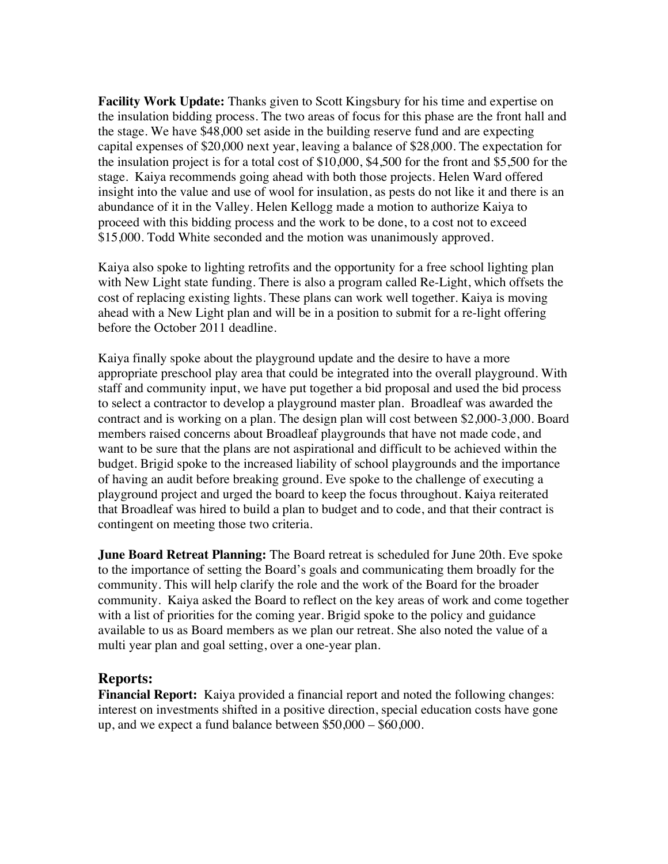**Facility Work Update:** Thanks given to Scott Kingsbury for his time and expertise on the insulation bidding process. The two areas of focus for this phase are the front hall and the stage. We have \$48,000 set aside in the building reserve fund and are expecting capital expenses of \$20,000 next year, leaving a balance of \$28,000. The expectation for the insulation project is for a total cost of \$10,000, \$4,500 for the front and \$5,500 for the stage. Kaiya recommends going ahead with both those projects. Helen Ward offered insight into the value and use of wool for insulation, as pests do not like it and there is an abundance of it in the Valley. Helen Kellogg made a motion to authorize Kaiya to proceed with this bidding process and the work to be done, to a cost not to exceed \$15,000. Todd White seconded and the motion was unanimously approved.

Kaiya also spoke to lighting retrofits and the opportunity for a free school lighting plan with New Light state funding. There is also a program called Re-Light, which offsets the cost of replacing existing lights. These plans can work well together. Kaiya is moving ahead with a New Light plan and will be in a position to submit for a re-light offering before the October 2011 deadline.

Kaiya finally spoke about the playground update and the desire to have a more appropriate preschool play area that could be integrated into the overall playground. With staff and community input, we have put together a bid proposal and used the bid process to select a contractor to develop a playground master plan. Broadleaf was awarded the contract and is working on a plan. The design plan will cost between \$2,000-3,000. Board members raised concerns about Broadleaf playgrounds that have not made code, and want to be sure that the plans are not aspirational and difficult to be achieved within the budget. Brigid spoke to the increased liability of school playgrounds and the importance of having an audit before breaking ground. Eve spoke to the challenge of executing a playground project and urged the board to keep the focus throughout. Kaiya reiterated that Broadleaf was hired to build a plan to budget and to code, and that their contract is contingent on meeting those two criteria.

**June Board Retreat Planning:** The Board retreat is scheduled for June 20th. Eve spoke to the importance of setting the Board's goals and communicating them broadly for the community. This will help clarify the role and the work of the Board for the broader community. Kaiya asked the Board to reflect on the key areas of work and come together with a list of priorities for the coming year. Brigid spoke to the policy and guidance available to us as Board members as we plan our retreat. She also noted the value of a multi year plan and goal setting, over a one-year plan.

# **Reports:**

**Financial Report:** Kaiya provided a financial report and noted the following changes: interest on investments shifted in a positive direction, special education costs have gone up, and we expect a fund balance between \$50,000 – \$60,000.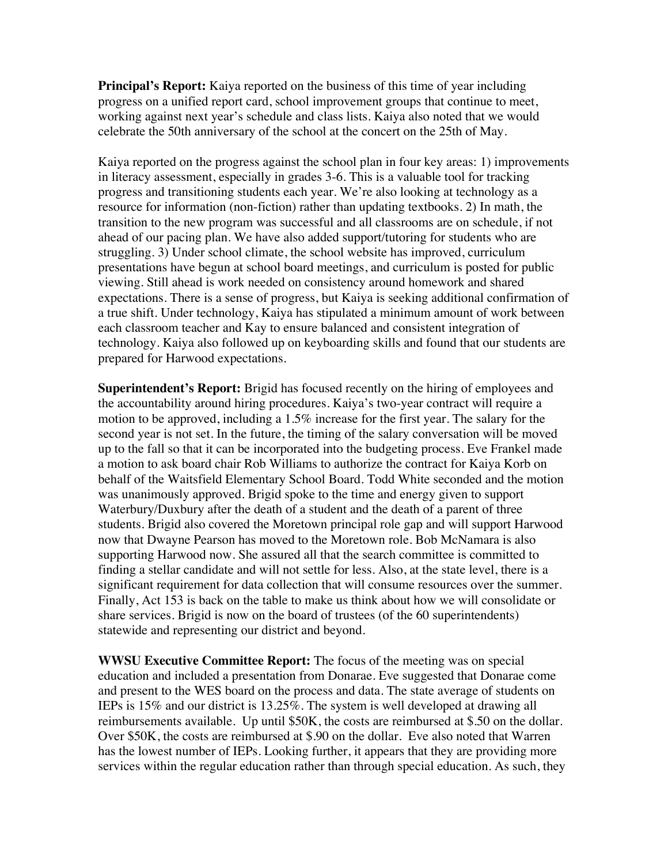**Principal's Report:** Kaiya reported on the business of this time of year including progress on a unified report card, school improvement groups that continue to meet, working against next year's schedule and class lists. Kaiya also noted that we would celebrate the 50th anniversary of the school at the concert on the 25th of May.

Kaiya reported on the progress against the school plan in four key areas: 1) improvements in literacy assessment, especially in grades 3-6. This is a valuable tool for tracking progress and transitioning students each year. We're also looking at technology as a resource for information (non-fiction) rather than updating textbooks. 2) In math, the transition to the new program was successful and all classrooms are on schedule, if not ahead of our pacing plan. We have also added support/tutoring for students who are struggling. 3) Under school climate, the school website has improved, curriculum presentations have begun at school board meetings, and curriculum is posted for public viewing. Still ahead is work needed on consistency around homework and shared expectations. There is a sense of progress, but Kaiya is seeking additional confirmation of a true shift. Under technology, Kaiya has stipulated a minimum amount of work between each classroom teacher and Kay to ensure balanced and consistent integration of technology. Kaiya also followed up on keyboarding skills and found that our students are prepared for Harwood expectations.

**Superintendent's Report:** Brigid has focused recently on the hiring of employees and the accountability around hiring procedures. Kaiya's two-year contract will require a motion to be approved, including a 1.5% increase for the first year. The salary for the second year is not set. In the future, the timing of the salary conversation will be moved up to the fall so that it can be incorporated into the budgeting process. Eve Frankel made a motion to ask board chair Rob Williams to authorize the contract for Kaiya Korb on behalf of the Waitsfield Elementary School Board. Todd White seconded and the motion was unanimously approved. Brigid spoke to the time and energy given to support Waterbury/Duxbury after the death of a student and the death of a parent of three students. Brigid also covered the Moretown principal role gap and will support Harwood now that Dwayne Pearson has moved to the Moretown role. Bob McNamara is also supporting Harwood now. She assured all that the search committee is committed to finding a stellar candidate and will not settle for less. Also, at the state level, there is a significant requirement for data collection that will consume resources over the summer. Finally, Act 153 is back on the table to make us think about how we will consolidate or share services. Brigid is now on the board of trustees (of the 60 superintendents) statewide and representing our district and beyond.

**WWSU Executive Committee Report:** The focus of the meeting was on special education and included a presentation from Donarae. Eve suggested that Donarae come and present to the WES board on the process and data. The state average of students on IEPs is 15% and our district is 13.25%. The system is well developed at drawing all reimbursements available. Up until \$50K, the costs are reimbursed at \$.50 on the dollar. Over \$50K, the costs are reimbursed at \$.90 on the dollar. Eve also noted that Warren has the lowest number of IEPs. Looking further, it appears that they are providing more services within the regular education rather than through special education. As such, they